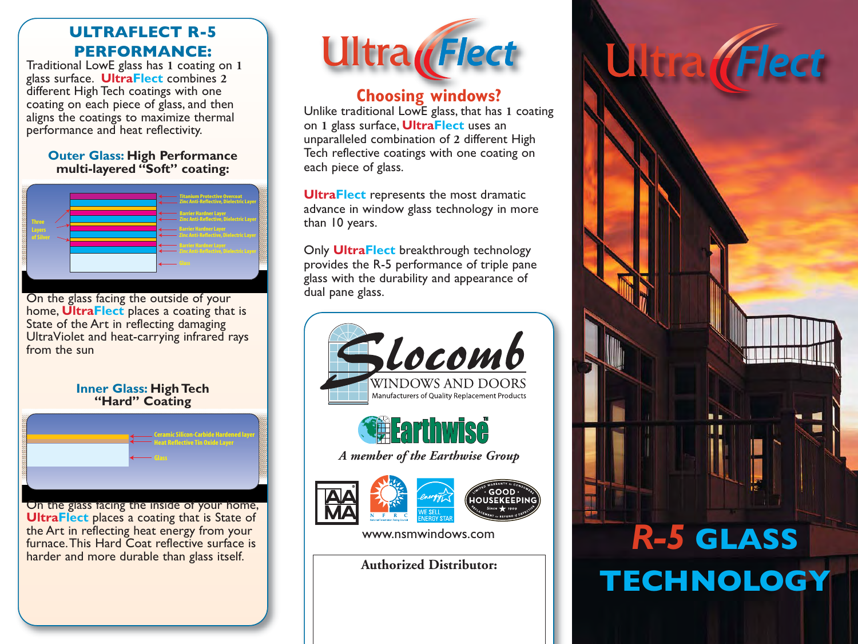### **ULTRAFLECT R-5 PERFORMANCE:**

Traditional LowE glass has **1** coating on **1** glass surface. **UltraFlect** combines **2** different High Tech coatings with one coating on each piece of glass, and then aligns the coatings to maximize thermal performance and heat reflectivity.

#### **Outer Glass: High Performance multi-layered "Soft" coating:**



On the glass facing the outside of your home, **UltraFlect** places a coating that is State of the Art in reflecting damaging UltraViolet and heat-carrying infrared rays from the sun

#### **Inner Glass: High Tech "Hard" Coating**



On the glass facing the inside of your home, **UltraFlect** places a coating that is State of the Art in reflecting heat energy from your furnace. This Hard Coat reflective surface is harder and more durable than glass itself.



### **Choosing windows?**

Unlike traditional LowE glass, that has **1** coating on **1** glass surface, **UltraFlect** uses an unparalleled combination of **2** different High Tech reflective coatings with one coating on each piece of glass.

**UltraFlect** represents the most dramatic advance in window glass technology in more than 10 years.

Only **UltraFlect** breakthrough technology provides the R-5 performance of triple pane glass with the durability and appearance of dual pane glass.



# *R-5* **GLASS TECHNOLOGY**